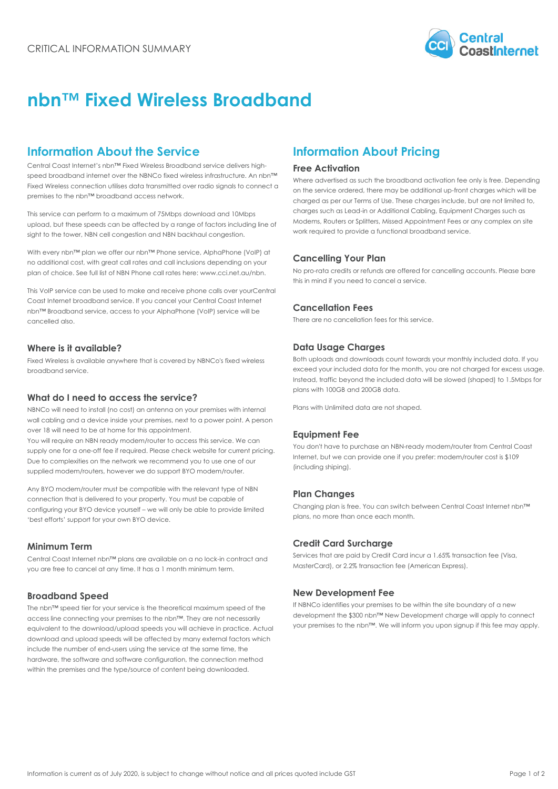

# **nbn™ Fixed Wireless Broadband**

# **Information About the Service**

Central Coast Internet's nbn™ Fixed Wireless Broadband service delivers highspeed broadband internet over the NBNCo fixed wireless infrastructure. An nbn™ Fixed Wireless connection utilises data transmitted over radio signals to connect a premises to the nbn™ broadband access network.

This service can perform to a maximum of 75Mbps download and 10Mbps upload, but these speeds can be affected by a range of factors including line of sight to the tower, NBN cell congestion and NBN backhaul congestion.

With every nbn™ plan we offer our nbn™ Phone service, AlphaPhone (VoIP) at no additional cost, with great call rates and call inclusions depending on your plan of choice. See full list of NBN Phone call rates here: www.cci.net.au/nbn.

This VoIP service can be used to make and receive phone calls over your Central Coast Internet broadband service. If you cancel your Central Coast Internet nbn™ Broadband service, access to your AlphaPhone (VoIP) service will be cancelled also.

# **Where is it available?**

Fixed Wireless is available anywhere that is covered by NBNCo's fixed wireless broadband service.

# **What do I need to access the service?**

NBNCo will need to install (no cost) an antenna on your premises with internal wall cabling and a device inside your premises, next to a power point. A person over 18 will need to be at home for this appointment.

You will require an NBN ready modem/router to access this service. We can supply one for a one-off fee if required. Please check website for current pricing. Due to complexities on the network we recommend you to use one of our supplied modem/routers, however we do support BYO modem/router.

Any BYO modem/router must be compatible with the relevant type of NBN connection that is delivered to your property. You must be capable of configuring your BYO device yourself – we will only be able to provide limited 'best efforts' support for your own BYO device.

## **Minimum Term**

Central Coast Internet nbn™ plans are available on a no lock-in contract and you are free to cancel at any time. It has a 1 month minimum term.

## **Broadband Speed**

The nbn™ speed tier for your service is the theoretical maximum speed of the access line connecting your premises to the nbn™. They are not necessarily equivalent to the download/upload speeds you will achieve in practice. Actual download and upload speeds will be affected by many external factors which include the number of end-users using the service at the same time, the hardware, the software and software configuration, the connection method within the premises and the type/source of content being downloaded.

# **Information About Pricing**

#### **Free Activation**

Where advertised as such the broadband activation fee only is free. Depending on the service ordered, there may be additional up-front charges which will be charged as per our Terms of Use. These charges include, but are not limited to, charges such as Lead-in or Additional Cabling, Equipment Charges such as Modems, Routers or Splitters, Missed Appointment Fees or any complex on site work required to provide a functional broadband service.

## **Cancelling Your Plan**

No pro-rata credits or refunds are offered for cancelling accounts. Please bare this in mind if you need to cancel a service.

# **Cancellation Fees**

There are no cancellation fees for this service.

# **Data Usage Charges**

Both uploads and downloads count towards your monthly included data. If you exceed your included data for the month, you are not charged for excess usage. Instead, traffic beyond the included data will be slowed (shaped) to 1.5Mbps for plans with 100GB and 200GB data.

Plans with Unlimited data are not shaped.

## **Equipment Fee**

You don't have to purchase an NBN-ready modem/router from Central Coast Internet, but we can provide one if you prefer: modem/router cost is \$109 (including shiping).

# **Plan Changes**

Changing plan is free. You can switch between Central Coast Internet nbn™ plans, no more than once each month.

## **Credit Card Surcharge**

Services that are paid by Credit Card incur a 1.65% transaction fee (Visa, MasterCard), or 2.2% transaction fee (American Express).

## **New Development Fee**

If NBNCo identifies your premises to be within the site boundary of a new development the \$300 nbn™ New Development charge will apply to connect your premises to the nbn™. We will inform you upon signup if this fee may apply.